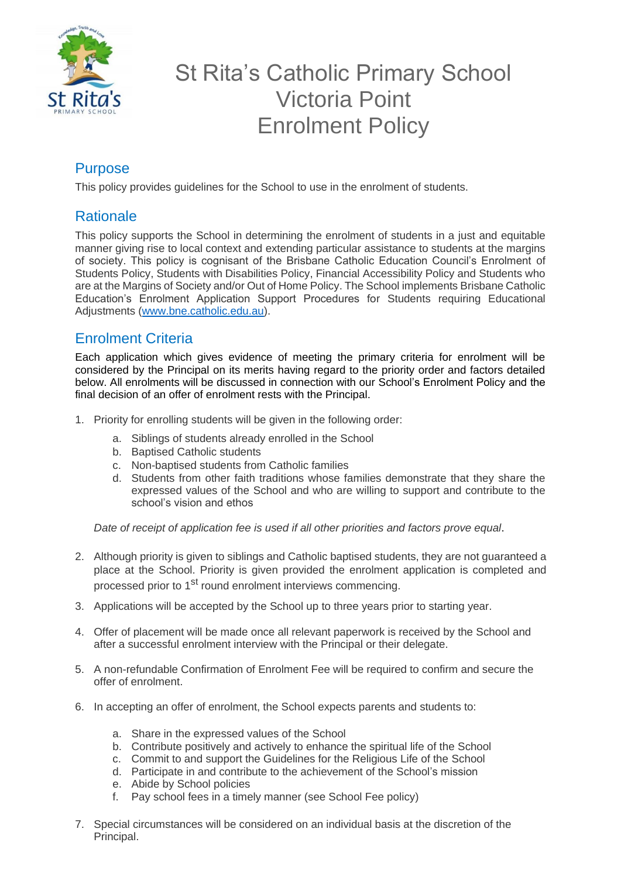

## St Rita's Catholic Primary School Victoria Point Enrolment Policy

## Purpose

This policy provides guidelines for the School to use in the enrolment of students.

## **Rationale**

This policy supports the School in determining the enrolment of students in a just and equitable manner giving rise to local context and extending particular assistance to students at the margins of society. This policy is cognisant of the Brisbane Catholic Education Council's Enrolment of Students Policy, Students with Disabilities Policy, Financial Accessibility Policy and Students who are at the Margins of Society and/or Out of Home Policy. The School implements Brisbane Catholic Education's Enrolment Application Support Procedures for Students requiring Educational Adjustments [\(www.bne.catholic.edu.au\)](http://www.bne.catholic.edu.au/).

## Enrolment Criteria

Each application which gives evidence of meeting the primary criteria for enrolment will be considered by the Principal on its merits having regard to the priority order and factors detailed below. All enrolments will be discussed in connection with our School's Enrolment Policy and the final decision of an offer of enrolment rests with the Principal.

- 1. Priority for enrolling students will be given in the following order:
	- a. Siblings of students already enrolled in the School
	- b. Baptised Catholic students
	- c. Non-baptised students from Catholic families
	- d. Students from other faith traditions whose families demonstrate that they share the expressed values of the School and who are willing to support and contribute to the school's vision and ethos

*Date of receipt of application fee is used if all other priorities and factors prove equal*.

- 2. Although priority is given to siblings and Catholic baptised students, they are not guaranteed a place at the School. Priority is given provided the enrolment application is completed and processed prior to 1<sup>st</sup> round enrolment interviews commencing.
- 3. Applications will be accepted by the School up to three years prior to starting year.
- 4. Offer of placement will be made once all relevant paperwork is received by the School and after a successful enrolment interview with the Principal or their delegate.
- 5. A non-refundable Confirmation of Enrolment Fee will be required to confirm and secure the offer of enrolment.
- 6. In accepting an offer of enrolment, the School expects parents and students to:
	- a. Share in the expressed values of the School
	- b. Contribute positively and actively to enhance the spiritual life of the School
	- c. Commit to and support the Guidelines for the Religious Life of the School
	- d. Participate in and contribute to the achievement of the School's mission
	- e. Abide by School policies
	- f. Pay school fees in a timely manner (see School Fee policy)
- 7. Special circumstances will be considered on an individual basis at the discretion of the Principal.